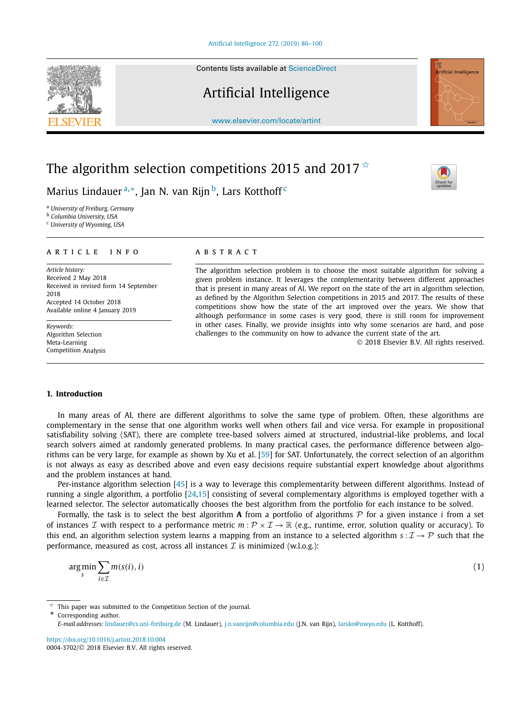Contents lists available at [ScienceDirect](http://www.ScienceDirect.com/)

# Artificial Intelligence

[www.elsevier.com/locate/artint](http://www.elsevier.com/locate/artint)

# The algorithm selection competitions 2015 and 2017 $\overline{\mathbf{x}}$

Marius Lindauer<sup>a,∗</sup>, Jan N. van Rijn<sup>b</sup>, Lars Kotthoff<sup>c</sup>

<sup>a</sup> *University of Freiburg, Germany*

<sup>b</sup> *Columbia University, USA*

<sup>c</sup> *University of Wyoming, USA*

#### A R T I C L E I N F O A B S T R A C T

*Article history:* Received 2 May 2018 Received in revised form 14 September 2018 Accepted 14 October 2018 Available online 4 January 2019

*Keywords:* Algorithm Selection Meta-Learning Competition Analysis

The algorithm selection problem is to choose the most suitable algorithm for solving a given problem instance. It leverages the complementarity between different approaches that is present in many areas of AI. We report on the state of the art in algorithm selection, as defined by the Algorithm Selection competitions in 2015 and 2017. The results of these competitions show how the state of the art improved over the years. We show that although performance in some cases is very good, there is still room for improvement in other cases. Finally, we provide insights into why some scenarios are hard, and pose challenges to the community on how to advance the current state of the art.

© 2018 Elsevier B.V. All rights reserved.

#### **1. Introduction**

In many areas of AI, there are different algorithms to solve the same type of problem. Often, these algorithms are complementary in the sense that one algorithm works well when others fail and vice versa. For example in propositional satisfiability solving (SAT), there are complete tree-based solvers aimed at structured, industrial-like problems, and local search solvers aimed at randomly generated problems. In many practical cases, the performance difference between algorithms can be very large, for example as shown by Xu et al. [\[59\]](#page-14-0) for SAT. Unfortunately, the correct selection of an algorithm is not always as easy as described above and even easy decisions require substantial expert knowledge about algorithms and the problem instances at hand.

Per-instance algorithm selection [\[45\]](#page-14-0) is a way to leverage this complementarity between different algorithms. Instead of running a single algorithm, a portfolio [\[24,15\]](#page-14-0) consisting of several complementary algorithms is employed together with a learned selector. The selector automatically chooses the best algorithm from the portfolio for each instance to be solved.

Formally, the task is to select the best algorithm **A** from a portfolio of algorithms P for a given instance *i* from a set of instances *I* with respect to a performance metric  $m : \mathcal{P} \times \mathcal{I} \to \mathbb{R}$  (e.g., runtime, error, solution quality or accuracy). To this end, an algorithm selection system learns a mapping from an instance to a selected algorithm  $s: \mathcal{I} \to \mathcal{P}$  such that the performance, measured as cost, across all instances  $\mathcal I$  is minimized (w.l.o.g.):

$$
\underset{s}{\arg\min} \sum_{i \in \mathcal{I}} m(s(i), i) \tag{1}
$$

Corresponding author.

<https://doi.org/10.1016/j.artint.2018.10.004> 0004-3702/© 2018 Elsevier B.V. All rights reserved.





This paper was submitted to the Competition Section of the journal.

*E-mail addresses:* [lindauer@cs.uni-freiburg.de](mailto:lindauer@cs.uni-freiburg.de) (M. Lindauer), [j.n.vanrijn@columbia.edu](mailto:j.n.vanrijn@columbia.edu) (J.N. van Rijn), [larsko@uwyo.edu](mailto:larsko@uwyo.edu) (L. Kotthoff).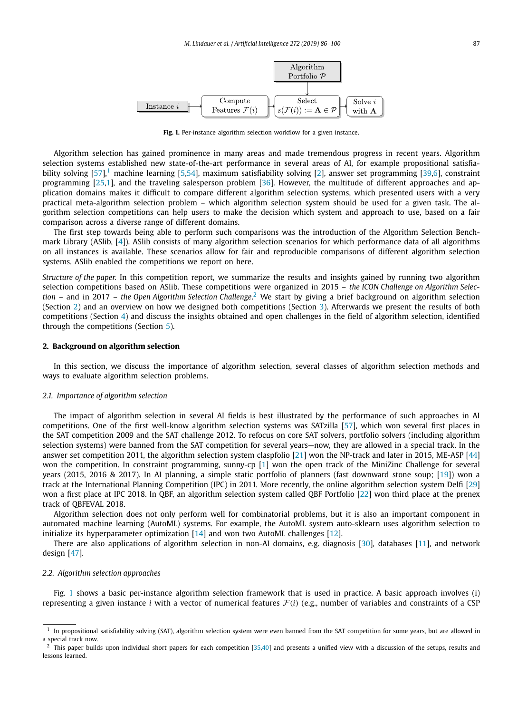

Fig. 1. Per-instance algorithm selection workflow for a given instance.

Algorithm selection has gained prominence in many areas and made tremendous progress in recent years. Algorithm selection systems established new state-of-the-art performance in several areas of AI, for example propositional satisfiability solving  $[57]$ ,<sup>1</sup> machine learning  $[5,54]$ , maximum satisfiability solving  $[2]$ , answer set programming  $[39,6]$ , constraint programming [\[25,1\]](#page-14-0), and the traveling salesperson problem [\[36\]](#page-14-0). However, the multitude of different approaches and application domains makes it difficult to compare different algorithm selection systems, which presented users with a very practical meta-algorithm selection problem – which algorithm selection system should be used for a given task. The algorithm selection competitions can help users to make the decision which system and approach to use, based on a fair comparison across a diverse range of different domains.

The first step towards being able to perform such comparisons was the introduction of the Algorithm Selection Benchmark Library (ASlib, [\[4\]](#page-13-0)). ASlib consists of many algorithm selection scenarios for which performance data of all algorithms on all instances is available. These scenarios allow for fair and reproducible comparisons of different algorithm selection systems. ASlib enabled the competitions we report on here.

*Structure of the paper.* In this competition report, we summarize the results and insights gained by running two algorithm selection competitions based on ASlib. These competitions were organized in 2015 – *the ICON Challenge on Algorithm Selection* – and in 2017 – *the Open Algorithm Selection Challenge*. <sup>2</sup> We start by giving a brief background on algorithm selection (Section 2) and an overview on how we designed both competitions (Section [3\)](#page-3-0). Afterwards we present the results of both competitions (Section [4\)](#page-5-0) and discuss the insights obtained and open challenges in the field of algorithm selection, identified through the competitions (Section [5\)](#page-7-0).

#### **2. Background on algorithm selection**

In this section, we discuss the importance of algorithm selection, several classes of algorithm selection methods and ways to evaluate algorithm selection problems.

#### *2.1. Importance of algorithm selection*

The impact of algorithm selection in several AI fields is best illustrated by the performance of such approaches in AI competitions. One of the first well-know algorithm selection systems was SATzilla [\[57\]](#page-14-0), which won several first places in the SAT competition 2009 and the SAT challenge 2012. To refocus on core SAT solvers, portfolio solvers (including algorithm selection systems) were banned from the SAT competition for several years—now, they are allowed in a special track. In the answer set competition 2011, the algorithm selection system claspfolio [\[21\]](#page-13-0) won the NP-track and later in 2015, ME-ASP [\[44\]](#page-14-0) won the competition. In constraint programming, sunny-cp [\[1\]](#page-13-0) won the open track of the MiniZinc Challenge for several years (2015, 2016 & 2017). In AI planning, a simple static portfolio of planners (fast downward stone soup; [\[19\]](#page-13-0)) won a track at the International Planning Competition (IPC) in 2011. More recently, the online algorithm selection system Delfi [\[29\]](#page-14-0) won a first place at IPC 2018. In QBF, an algorithm selection system called QBF Portfolio [\[22\]](#page-14-0) won third place at the prenex track of QBFEVAL 2018.

Algorithm selection does not only perform well for combinatorial problems, but it is also an important component in automated machine learning (AutoML) systems. For example, the AutoML system auto-sklearn uses algorithm selection to initialize its hyperparameter optimization [\[14\]](#page-13-0) and won two AutoML challenges [\[12\]](#page-13-0).

There are also applications of algorithm selection in non-AI domains, e.g. diagnosis [\[30\]](#page-14-0), databases [\[11\]](#page-13-0), and network design [\[47\]](#page-14-0).

#### *2.2. Algorithm selection approaches*

Fig. 1 shows a basic per-instance algorithm selection framework that is used in practice. A basic approach involves (i) representing a given instance *i* with a vector of numerical features  $F(i)$  (e.g., number of variables and constraints of a CSP

 $<sup>1</sup>$  In propositional satisfiability solving (SAT), algorithm selection system were even banned from the SAT competition for some years, but are allowed in</sup> a special track now.

 $<sup>2</sup>$  This paper builds upon individual short papers for each competition [\[35,40\]](#page-14-0) and presents a unified view with a discussion of the setups, results and</sup> lessons learned.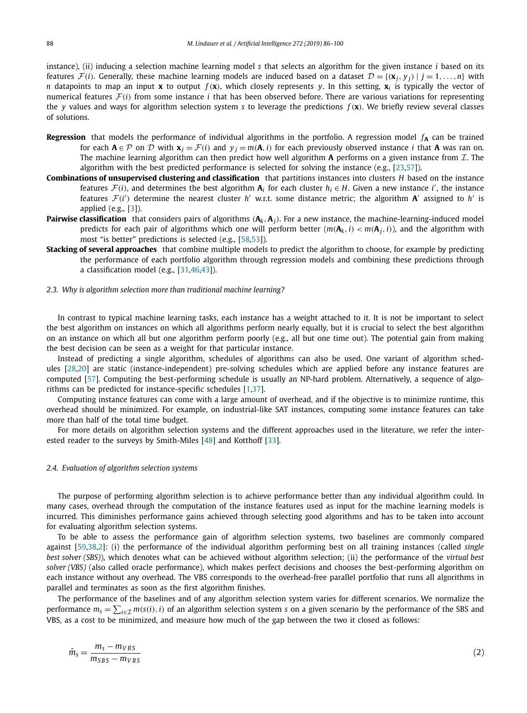<span id="page-2-0"></span>instance), (ii) inducing a selection machine learning model *s* that selects an algorithm for the given instance *i* based on its features  $\mathcal{F}(i)$ . Generally, these machine learning models are induced based on a dataset  $\mathcal{D} = \{(\mathbf{x}_i, y_i) | j = 1, ..., n\}$  with *n* datapoints to map an input **x** to output *f (***x***)*, which closely represents *y*. In this setting, **x***<sup>i</sup>* is typically the vector of numerical features  $F(i)$  from some instance *i* that has been observed before. There are various variations for representing the *y* values and ways for algorithm selection system *s* to leverage the predictions *f (***x***)*. We briefly review several classes of solutions.

- **Regression** that models the performance of individual algorithms in the portfolio. A regression model  $f_A$  can be trained for each  $A \in \mathcal{P}$  on  $\mathcal{D}$  with  $\mathbf{x}_i = \mathcal{F}(i)$  and  $y_i = m(A, i)$  for each previously observed instance *i* that **A** was ran on. The machine learning algorithm can then predict how well algorithm **A** performs on a given instance from  $I$ . The algorithm with the best predicted performance is selected for solving the instance (e.g., [\[23,57\]](#page-14-0)).
- **Combinations of unsupervised clustering and classification** that partitions instances into clusters *H* based on the instance features  $\mathcal{F}(i)$ , and determines the best algorithm  $\mathbf{A}_i$  for each cluster  $h_i \in H$ . Given a new instance *i'*, the instance features  $\mathcal{F}(i')$  determine the nearest cluster  $h'$  w.r.t. some distance metric; the algorithm  $\mathbf{A}'$  assigned to  $h'$  is applied (e.g., [\[3\]](#page-13-0)).
- **Pairwise classification** that considers pairs of algorithms *(***A***k,***A***j)*. For a new instance, the machine-learning-induced model predicts for each pair of algorithms which one will perform better  $(m(\mathbf{A}_k, i) < m(\mathbf{A}_i, i))$ , and the algorithm with most "is better" predictions is selected (e.g., [\[58,53\]](#page-14-0)).
- **Stacking of several approaches** that combine multiple models to predict the algorithm to choose, for example by predicting the performance of each portfolio algorithm through regression models and combining these predictions through a classification model (e.g.,  $[31,46,43]$ ).
- *2.3. Why is algorithm selection more than traditional machine learning?*

In contrast to typical machine learning tasks, each instance has a weight attached to it. It is not be important to select the best algorithm on instances on which all algorithms perform nearly equally, but it is crucial to select the best algorithm on an instance on which all but one algorithm perform poorly (e.g., all but one time out). The potential gain from making the best decision can be seen as a weight for that particular instance.

Instead of predicting a single algorithm, schedules of algorithms can also be used. One variant of algorithm schedules [\[28,20\]](#page-14-0) are static (instance-independent) pre-solving schedules which are applied before any instance features are computed [\[57\]](#page-14-0). Computing the best-performing schedule is usually an NP-hard problem. Alternatively, a sequence of algorithms can be predicted for instance-specific schedules [\[1,37\]](#page-13-0).

Computing instance features can come with a large amount of overhead, and if the objective is to minimize runtime, this overhead should be minimized. For example, on industrial-like SAT instances, computing some instance features can take more than half of the total time budget.

For more details on algorithm selection systems and the different approaches used in the literature, we refer the inter-ested reader to the surveys by Smith-Miles [\[48\]](#page-14-0) and Kotthoff [\[33\]](#page-14-0).

# *2.4. Evaluation of algorithm selection systems*

The purpose of performing algorithm selection is to achieve performance better than any individual algorithm could. In many cases, overhead through the computation of the instance features used as input for the machine learning models is incurred. This diminishes performance gains achieved through selecting good algorithms and has to be taken into account for evaluating algorithm selection systems.

To be able to assess the performance gain of algorithm selection systems, two baselines are commonly compared against [\[59,38,2\]](#page-14-0): (i) the performance of the individual algorithm performing best on all training instances (called *single best solver (SBS)*), which denotes what can be achieved without algorithm selection; (ii) the performance of the *virtual best solver (VBS)* (also called oracle performance), which makes perfect decisions and chooses the best-performing algorithm on each instance without any overhead. The VBS corresponds to the overhead-free parallel portfolio that runs all algorithms in parallel and terminates as soon as the first algorithm finishes.

The performance of the baselines and of any algorithm selection system varies for different scenarios. We normalize the performance  $m_s = \sum_{i \in \mathcal{I}} m(s(i), i)$  of an algorithm selection system *s* on a given scenario by the performance of the SBS and VBS, as a cost to be minimized, and measure how much of the gap between the two it closed as follows:

$$
\hat{m}_s = \frac{m_s - m_{VBS}}{m_{SBS} - m_{VBS}}
$$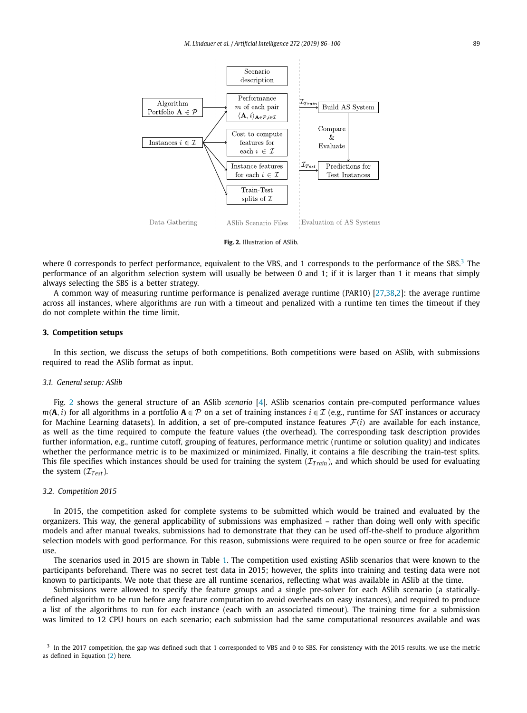<span id="page-3-0"></span>

**Fig. 2.** Illustration of ASlib.

where 0 corresponds to perfect performance, equivalent to the VBS, and 1 corresponds to the performance of the SBS. $3$  The performance of an algorithm selection system will usually be between 0 and 1; if it is larger than 1 it means that simply always selecting the SBS is a better strategy.

A common way of measuring runtime performance is penalized average runtime (PAR10) [\[27,38,2\]](#page-14-0): the average runtime across all instances, where algorithms are run with a timeout and penalized with a runtime ten times the timeout if they do not complete within the time limit.

#### **3. Competition setups**

In this section, we discuss the setups of both competitions. Both competitions were based on ASlib, with submissions required to read the ASlib format as input.

#### *3.1. General setup: ASlib*

Fig. 2 shows the general structure of an ASlib *scenario* [\[4\]](#page-13-0). ASlib scenarios contain pre-computed performance values *m*(**A**, *i*) for all algorithms in a portfolio **A** ∈ P on a set of training instances *i* ∈ I (e.g., runtime for SAT instances or accuracy for Machine Learning datasets). In addition, a set of pre-computed instance features  $\mathcal{F}(i)$  are available for each instance, as well as the time required to compute the feature values (the overhead). The corresponding task description provides further information, e.g., runtime cutoff, grouping of features, performance metric (runtime or solution quality) and indicates whether the performance metric is to be maximized or minimized. Finally, it contains a file describing the train-test splits. This file specifies which instances should be used for training the system  $(\mathcal{I}_{Train})$ , and which should be used for evaluating the system  $(\mathcal{I}_{Test})$ .

#### *3.2. Competition 2015*

In 2015, the competition asked for complete systems to be submitted which would be trained and evaluated by the organizers. This way, the general applicability of submissions was emphasized – rather than doing well only with specific models and after manual tweaks, submissions had to demonstrate that they can be used off-the-shelf to produce algorithm selection models with good performance. For this reason, submissions were required to be open source or free for academic use.

The scenarios used in 2015 are shown in Table [1.](#page-4-0) The competition used existing ASlib scenarios that were known to the participants beforehand. There was no secret test data in 2015; however, the splits into training and testing data were not known to participants. We note that these are all runtime scenarios, reflecting what was available in ASlib at the time.

Submissions were allowed to specify the feature groups and a single pre-solver for each ASlib scenario (a staticallydefined algorithm to be run before any feature computation to avoid overheads on easy instances), and required to produce a list of the algorithms to run for each instance (each with an associated timeout). The training time for a submission was limited to 12 CPU hours on each scenario; each submission had the same computational resources available and was

<sup>&</sup>lt;sup>3</sup> In the 2017 competition, the gap was defined such that 1 corresponded to VBS and 0 to SBS. For consistency with the 2015 results, we use the metric as defined in Equation [\(2\)](#page-2-0) here.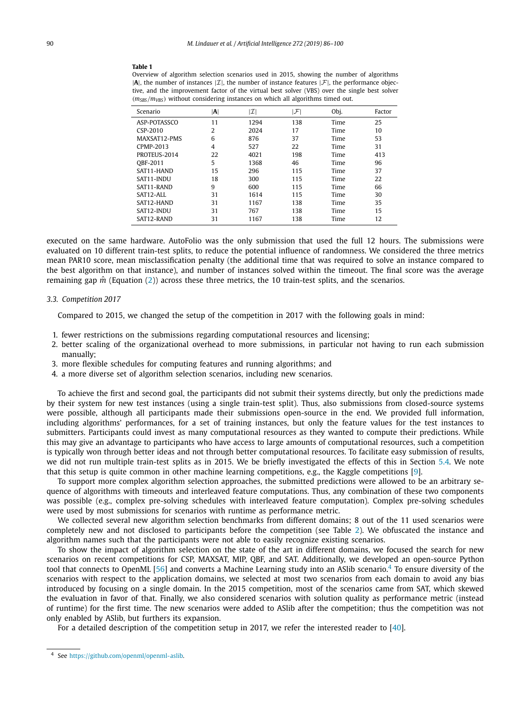#### <span id="page-4-0"></span>**Table 1**

Overview of algorithm selection scenarios used in 2015, showing the number of algorithms  $|A|$ , the number of instances  $|I|$ , the number of instance features  $|F|$ , the performance objective, and the improvement factor of the virtual best solver (VBS) over the single best solver *(mSBS/mVBS)* without considering instances on which all algorithms timed out.

| Scenario     | $ {\bf A} $ | $ \mathcal{I} $ | F   | Obj. | Factor |
|--------------|-------------|-----------------|-----|------|--------|
| ASP-POTASSCO | 11          | 1294            | 138 | Time | 25     |
| CSP-2010     | 2           | 2024            | 17  | Time | 10     |
| MAXSAT12-PMS | 6           | 876             | 37  | Time | 53     |
| CPMP-2013    | 4           | 527             | 22  | Time | 31     |
| PROTEUS-2014 | 22          | 4021            | 198 | Time | 413    |
| OBF-2011     | 5           | 1368            | 46  | Time | 96     |
| SAT11-HAND   | 15          | 296             | 115 | Time | 37     |
| SAT11-INDU   | 18          | 300             | 115 | Time | 22     |
| SAT11-RAND   | 9           | 600             | 115 | Time | 66     |
| SAT12-ALL    | 31          | 1614            | 115 | Time | 30     |
| SAT12-HAND   | 31          | 1167            | 138 | Time | 35     |
| SAT12-INDU   | 31          | 767             | 138 | Time | 15     |
| SAT12-RAND   | 31          | 1167            | 138 | Time | 12     |

executed on the same hardware. AutoFolio was the only submission that used the full 12 hours. The submissions were evaluated on 10 different train-test splits, to reduce the potential influence of randomness. We considered the three metrics mean PAR10 score, mean misclassification penalty (the additional time that was required to solve an instance compared to the best algorithm on that instance), and number of instances solved within the timeout. The final score was the average remaining gap  $\hat{m}$  (Equation [\(2\)](#page-2-0)) across these three metrics, the 10 train-test splits, and the scenarios.

# *3.3. Competition 2017*

Compared to 2015, we changed the setup of the competition in 2017 with the following goals in mind:

- 1. fewer restrictions on the submissions regarding computational resources and licensing;
- 2. better scaling of the organizational overhead to more submissions, in particular not having to run each submission manually;
- 3. more flexible schedules for computing features and running algorithms; and
- 4. a more diverse set of algorithm selection scenarios, including new scenarios.

To achieve the first and second goal, the participants did not submit their systems directly, but only the predictions made by their system for new test instances (using a single train-test split). Thus, also submissions from closed-source systems were possible, although all participants made their submissions open-source in the end. We provided full information, including algorithms' performances, for a set of training instances, but only the feature values for the test instances to submitters. Participants could invest as many computational resources as they wanted to compute their predictions. While this may give an advantage to participants who have access to large amounts of computational resources, such a competition is typically won through better ideas and not through better computational resources. To facilitate easy submission of results, we did not run multiple train-test splits as in 2015. We be briefly investigated the effects of this in Section [5.4.](#page-7-0) We note that this setup is quite common in other machine learning competitions, e.g., the Kaggle competitions [\[9\]](#page-13-0).

To support more complex algorithm selection approaches, the submitted predictions were allowed to be an arbitrary sequence of algorithms with timeouts and interleaved feature computations. Thus, any combination of these two components was possible (e.g., complex pre-solving schedules with interleaved feature computation). Complex pre-solving schedules were used by most submissions for scenarios with runtime as performance metric.

We collected several new algorithm selection benchmarks from different domains; 8 out of the 11 used scenarios were completely new and not disclosed to participants before the competition (see Table [2\)](#page-5-0). We obfuscated the instance and algorithm names such that the participants were not able to easily recognize existing scenarios.

To show the impact of algorithm selection on the state of the art in different domains, we focused the search for new scenarios on recent competitions for CSP, MAXSAT, MIP, QBF, and SAT. Additionally, we developed an open-source Python tool that connects to OpenML [\[56\]](#page-14-0) and converts a Machine Learning study into an ASlib scenario.<sup>4</sup> To ensure diversity of the scenarios with respect to the application domains, we selected at most two scenarios from each domain to avoid any bias introduced by focusing on a single domain. In the 2015 competition, most of the scenarios came from SAT, which skewed the evaluation in favor of that. Finally, we also considered scenarios with solution quality as performance metric (instead of runtime) for the first time. The new scenarios were added to ASlib after the competition; thus the competition was not only enabled by ASlib, but furthers its expansion.

For a detailed description of the competition setup in 2017, we refer the interested reader to [\[40\]](#page-14-0).

<sup>4</sup> See [https://github.com/openml/openml-aslib.](https://github.com/openml/openml-aslib)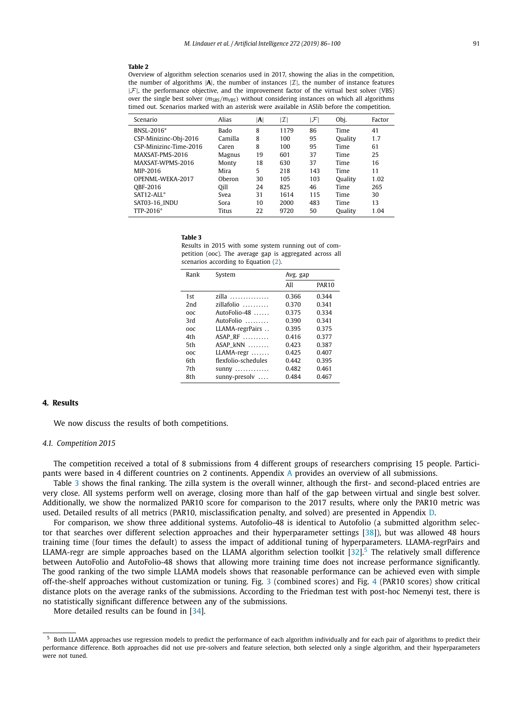#### <span id="page-5-0"></span>**Table 2**

Overview of algorithm selection scenarios used in 2017, showing the alias in the competition, the number of algorithms  $|A|$ , the number of instances  $|I|$ , the number of instance features  $|\mathcal{F}|$ , the performance objective, and the improvement factor of the virtual best solver (VBS) over the single best solver *(* $m_{SBS}/m_{VBS}$ *)* without considering instances on which all algorithms timed out. Scenarios marked with an asterisk were available in ASlib before the competition.

| Scenario               | Alias        | $ {\bf A} $ | $\mathcal{I}$ l | F   | Obj.    | Factor |
|------------------------|--------------|-------------|-----------------|-----|---------|--------|
| BNSL-2016*             | Bado         | 8           | 1179            | 86  | Time    | 41     |
| CSP-Minizinc-Obj-2016  | Camilla      | 8           | 100             | 95  | Quality | 1.7    |
| CSP-Minizinc-Time-2016 | Caren        | 8           | 100             | 95  | Time    | 61     |
| MAXSAT-PMS-2016        | Magnus       | 19          | 601             | 37  | Time    | 25     |
| MAXSAT-WPMS-2016       | Monty        | 18          | 630             | 37  | Time    | 16     |
| MIP-2016               | Mira         | 5           | 218             | 143 | Time    | 11     |
| OPENML-WEKA-2017       | Oberon       | 30          | 105             | 103 | Quality | 1.02   |
| OBF-2016               | Qill         | 24          | 825             | 46  | Time    | 265    |
| $SAT12-ALL^*$          | Svea         | 31          | 1614            | 115 | Time    | 30     |
| SAT03-16_INDU          | Sora         | 10          | 2000            | 483 | Time    | 13     |
| TTP-2016*              | <b>Titus</b> | 22          | 9720            | 50  | Quality | 1.04   |

#### **Table 3**

Results in 2015 with some system running out of competition (ooc). The average gap is aggregated across all scenarios according to Equation [\(2\)](#page-2-0).

| Rank | System                     | Avg. gap |              |
|------|----------------------------|----------|--------------|
|      |                            | All      | <b>PAR10</b> |
| 1st  | zilla                      | 0.366    | 0.344        |
| 2nd  | zillafolio $\ldots \ldots$ | 0.370    | 0.341        |
| ooc  | $AutoFolio-48$             | 0.375    | 0.334        |
| 3rd  | AutoFolio                  | 0.390    | 0.341        |
| ooc  | LLAMA-regrPairs            | 0.395    | 0.375        |
| 4th  | $ASAP_RF$                  | 0.416    | 0.377        |
| 5th  | $ASAP$ $kNN$ $\dots$       | 0.423    | 0.387        |
| ooc  | LLAMA-regr                 | 0.425    | 0.407        |
| 6th  | flexfolio-schedules        | 0.442    | 0.395        |
| 7th  | sunny                      | 0.482    | 0.461        |
| 8th  | sunny-presolv              | 0.484    | 0.467        |

# **4. Results**

We now discuss the results of both competitions.

#### *4.1. Competition 2015*

The competition received a total of 8 submissions from 4 different groups of researchers comprising 15 people. Participants were based in 4 different countries on 2 continents. Appendix [A](#page-10-0) provides an overview of all submissions.

Table 3 shows the final ranking. The zilla system is the overall winner, although the first- and second-placed entries are very close. All systems perform well on average, closing more than half of the gap between virtual and single best solver. Additionally, we show the normalized PAR10 score for comparison to the 2017 results, where only the PAR10 metric was used. Detailed results of all metrics (PAR10, misclassification penalty, and solved) are presented in Appendix [D.](#page-11-0)

For comparison, we show three additional systems. Autofolio-48 is identical to Autofolio (a submitted algorithm selector that searches over different selection approaches and their hyperparameter settings [\[38\]](#page-14-0)), but was allowed 48 hours training time (four times the default) to assess the impact of additional tuning of hyperparameters. LLAMA-regrPairs and LLAMA-regr are simple approaches based on the LLAMA algorithm selection toolkit  $[32]$ .<sup>5</sup> The relatively small difference between AutoFolio and AutoFolio-48 shows that allowing more training time does not increase performance significantly. The good ranking of the two simple LLAMA models shows that reasonable performance can be achieved even with simple off-the-shelf approaches without customization or tuning. Fig. [3](#page-6-0) (combined scores) and Fig. [4](#page-6-0) (PAR10 scores) show critical distance plots on the average ranks of the submissions. According to the Friedman test with post-hoc Nemenyi test, there is no statistically significant difference between any of the submissions.

More detailed results can be found in [\[34\]](#page-14-0).

<sup>5</sup> Both LLAMA approaches use regression models to predict the performance of each algorithm individually and for each pair of algorithms to predict their performance difference. Both approaches did not use pre-solvers and feature selection, both selected only a single algorithm, and their hyperparameters were not tuned.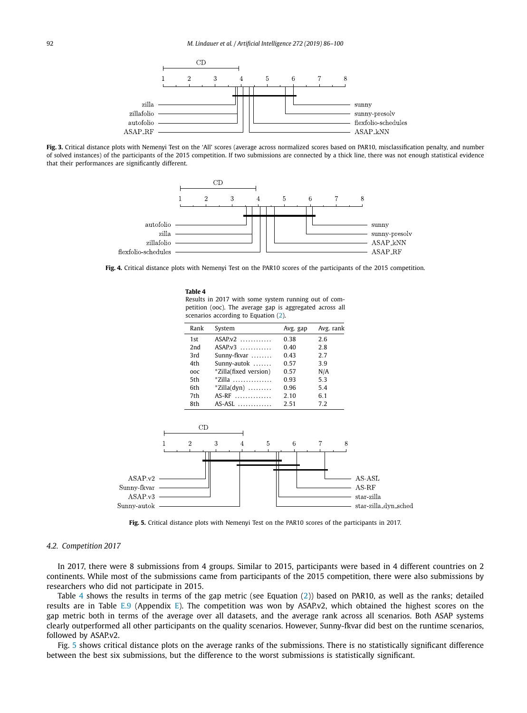<span id="page-6-0"></span>

**Fig. 3.** Critical distance plots with Nemenyi Test on the 'All' scores (average across normalized scores based on PAR10, misclassification penalty, and number of solved instances) of the participants of the 2015 competition. If two submissions are connected by a thick line, there was not enough statistical evidence that their performances are significantly different.



**Fig. 4.** Critical distance plots with Nemenyi Test on the PAR10 scores of the participants of the 2015 competition.

**Table 4** Results in 2017 with some system running out of competition (ooc). The average gap is aggregated across all scenarios according to Equation [\(2\)](#page-2-0).

| Rank | System                      | Avg. gap | Avg. rank |
|------|-----------------------------|----------|-----------|
| 1st  | $ASAP.v2$                   | 0.38     | 2.6       |
| 2nd  | $ASAP_v3$                   | 0.40     | 2.8       |
| 3rd  | Sunny-fkvar                 | 0.43     | 27        |
| 4th  | Sunny-autok                 | 0.57     | 3.9       |
| ooc  | *Zilla(fixed version)       | 0.57     | N/A       |
| 5th  | $*$ Zilla                   | 0.93     | 53        |
| 6th  | $*Zilla(dyn) \ldots \ldots$ | 0.96     | 5.4       |
| 7th  | AS-RF                       | 2.10     | 6.1       |
| 8th  | $AS-ASL$                    | 2.51     | 7.2       |



**Fig. 5.** Critical distance plots with Nemenyi Test on the PAR10 scores of the participants in 2017.

#### *4.2. Competition 2017*

In 2017, there were 8 submissions from 4 groups. Similar to 2015, participants were based in 4 different countries on 2 continents. While most of the submissions came from participants of the 2015 competition, there were also submissions by researchers who did not participate in 2015.

Table 4 shows the results in terms of the gap metric (see Equation  $(2)$ ) based on PAR10, as well as the ranks; detailed results are in Table [E.9](#page-13-0) (Appendix [E\)](#page-13-0). The competition was won by ASAP.v2, which obtained the highest scores on the gap metric both in terms of the average over all datasets, and the average rank across all scenarios. Both ASAP systems clearly outperformed all other participants on the quality scenarios. However, Sunny-fkvar did best on the runtime scenarios, followed by ASAP.v2.

Fig. 5 shows critical distance plots on the average ranks of the submissions. There is no statistically significant difference between the best six submissions, but the difference to the worst submissions is statistically significant.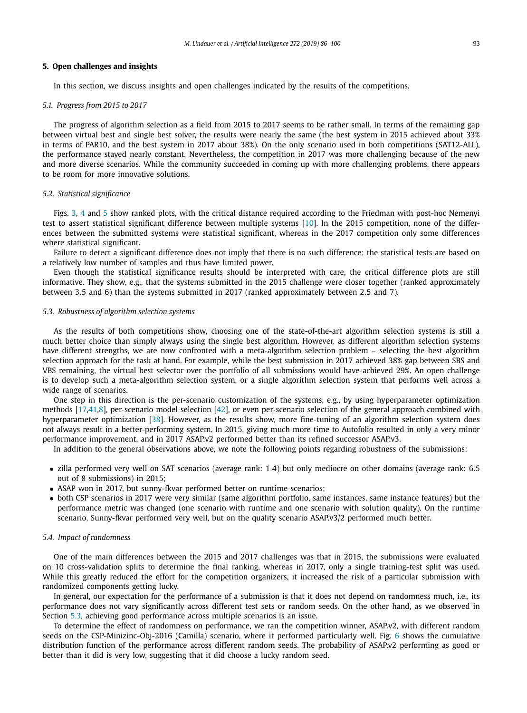#### <span id="page-7-0"></span>**5. Open challenges and insights**

In this section, we discuss insights and open challenges indicated by the results of the competitions.

# *5.1. Progress from 2015 to 2017*

The progress of algorithm selection as a field from 2015 to 2017 seems to be rather small. In terms of the remaining gap between virtual best and single best solver, the results were nearly the same (the best system in 2015 achieved about 33% in terms of PAR10, and the best system in 2017 about 38%). On the only scenario used in both competitions (SAT12-ALL), the performance stayed nearly constant. Nevertheless, the competition in 2017 was more challenging because of the new and more diverse scenarios. While the community succeeded in coming up with more challenging problems, there appears to be room for more innovative solutions.

#### *5.2. Statistical significance*

Figs. [3,](#page-6-0) [4](#page-6-0) and [5](#page-6-0) show ranked plots, with the critical distance required according to the Friedman with post-hoc Nemenyi test to assert statistical significant difference between multiple systems [\[10\]](#page-13-0). In the 2015 competition, none of the differences between the submitted systems were statistical significant, whereas in the 2017 competition only some differences where statistical significant.

Failure to detect a significant difference does not imply that there is no such difference: the statistical tests are based on a relatively low number of samples and thus have limited power.

Even though the statistical significance results should be interpreted with care, the critical difference plots are still informative. They show, e.g., that the systems submitted in the 2015 challenge were closer together (ranked approximately between 3*.*5 and 6) than the systems submitted in 2017 (ranked approximately between 2*.*5 and 7).

#### *5.3. Robustness of algorithm selection systems*

As the results of both competitions show, choosing one of the state-of-the-art algorithm selection systems is still a much better choice than simply always using the single best algorithm. However, as different algorithm selection systems have different strengths, we are now confronted with a meta-algorithm selection problem – selecting the best algorithm selection approach for the task at hand. For example, while the best submission in 2017 achieved 38% gap between SBS and VBS remaining, the virtual best selector over the portfolio of all submissions would have achieved 29%. An open challenge is to develop such a meta-algorithm selection system, or a single algorithm selection system that performs well across a wide range of scenarios.

One step in this direction is the per-scenario customization of the systems, e.g., by using hyperparameter optimization methods [\[17,41,](#page-13-0)[8\]](#page-14-0), per-scenario model selection [\[42\]](#page-14-0), or even per-scenario selection of the general approach combined with hyperparameter optimization [\[38\]](#page-14-0). However, as the results show, more fine-tuning of an algorithm selection system does not always result in a better-performing system. In 2015, giving much more time to Autofolio resulted in only a very minor performance improvement, and in 2017 ASAP.v2 performed better than its refined successor ASAP.v3.

In addition to the general observations above, we note the following points regarding robustness of the submissions:

- zilla performed very well on SAT scenarios (average rank: 1*.*4) but only mediocre on other domains (average rank: 6*.*5 out of 8 submissions) in 2015;
- ASAP won in 2017, but sunny-fkvar performed better on runtime scenarios;
- both CSP scenarios in 2017 were very similar (same algorithm portfolio, same instances, same instance features) but the performance metric was changed (one scenario with runtime and one scenario with solution quality). On the runtime scenario, Sunny-fkvar performed very well, but on the quality scenario ASAP.v3/2 performed much better.

#### *5.4. Impact of randomness*

One of the main differences between the 2015 and 2017 challenges was that in 2015, the submissions were evaluated on 10 cross-validation splits to determine the final ranking, whereas in 2017, only a single training-test split was used. While this greatly reduced the effort for the competition organizers, it increased the risk of a particular submission with randomized components getting lucky.

In general, our expectation for the performance of a submission is that it does not depend on randomness much, i.e., its performance does not vary significantly across different test sets or random seeds. On the other hand, as we observed in Section 5.3, achieving good performance across multiple scenarios is an issue.

To determine the effect of randomness on performance, we ran the competition winner, ASAP.v2, with different random seeds on the CSP-Minizinc-Obj-2016 (Camilla) scenario, where it performed particularly well. Fig. [6](#page-8-0) shows the cumulative distribution function of the performance across different random seeds. The probability of ASAP.v2 performing as good or better than it did is very low, suggesting that it did choose a lucky random seed.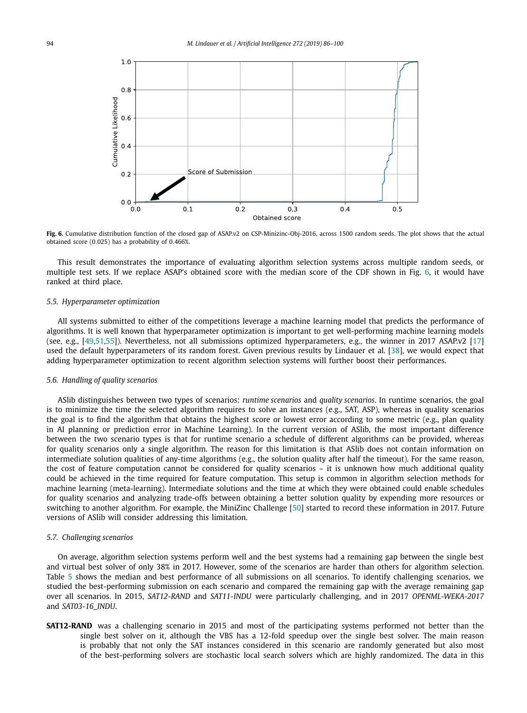<span id="page-8-0"></span>

**Fig. 6.** Cumulative distribution function of the closed gap of ASAP.v2 on CSP-Minizinc-Obj-2016, across 1500 random seeds. The plot shows that the actual obtained score (0*.*025) has a probability of 0*.*466%.

This result demonstrates the importance of evaluating algorithm selection systems across multiple random seeds, or multiple test sets. If we replace ASAP's obtained score with the median score of the CDF shown in Fig. 6, it would have ranked at third place.

#### *5.5. Hyperparameter optimization*

All systems submitted to either of the competitions leverage a machine learning model that predicts the performance of algorithms. It is well known that hyperparameter optimization is important to get well-performing machine learning models (see, e.g., [\[49,51,55\]](#page-14-0)). Nevertheless, not all submissions optimized hyperparameters, e.g., the winner in 2017 ASAP.v2 [\[17\]](#page-13-0) used the default hyperparameters of its random forest. Given previous results by Lindauer et al. [\[38\]](#page-14-0), we would expect that adding hyperparameter optimization to recent algorithm selection systems will further boost their performances.

#### *5.6. Handling of quality scenarios*

ASlib distinguishes between two types of scenarios: *runtime scenarios* and *quality scenarios*. In runtime scenarios, the goal is to minimize the time the selected algorithm requires to solve an instances (e.g., SAT, ASP), whereas in quality scenarios the goal is to find the algorithm that obtains the highest score or lowest error according to some metric (e.g., plan quality in AI planning or prediction error in Machine Learning). In the current version of ASlib, the most important difference between the two scenario types is that for runtime scenario a schedule of different algorithms can be provided, whereas for quality scenarios only a single algorithm. The reason for this limitation is that ASlib does not contain information on intermediate solution qualities of any-time algorithms (e.g., the solution quality after half the timeout). For the same reason, the cost of feature computation cannot be considered for quality scenarios – it is unknown how much additional quality could be achieved in the time required for feature computation. This setup is common in algorithm selection methods for machine learning (meta-learning). Intermediate solutions and the time at which they were obtained could enable schedules for quality scenarios and analyzing trade-offs between obtaining a better solution quality by expending more resources or switching to another algorithm. For example, the MiniZinc Challenge [\[50\]](#page-14-0) started to record these information in 2017. Future versions of ASlib will consider addressing this limitation.

#### *5.7. Challenging scenarios*

On average, algorithm selection systems perform well and the best systems had a remaining gap between the single best and virtual best solver of only 38% in 2017. However, some of the scenarios are harder than others for algorithm selection. Table [5](#page-9-0) shows the median and best performance of all submissions on all scenarios. To identify challenging scenarios, we studied the best-performing submission on each scenario and compared the remaining gap with the average remaining gap over all scenarios. In 2015, *SAT12-RAND* and *SAT11-INDU* were particularly challenging, and in 2017 *OPENML-WEKA-2017* and *SAT03-16\_INDU*.

**SAT12-RAND** was a challenging scenario in 2015 and most of the participating systems performed not better than the single best solver on it, although the VBS has a 12-fold speedup over the single best solver. The main reason is probably that not only the SAT instances considered in this scenario are randomly generated but also most of the best-performing solvers are stochastic local search solvers which are highly randomized. The data in this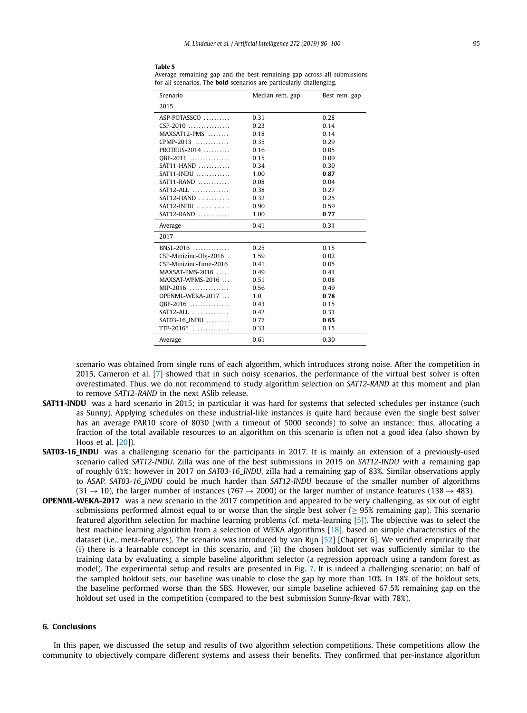<span id="page-9-0"></span>**Table 5**

Average remaining gap and the best remaining gap across all submissions for all scenarios. The **bold** scenarios are particularly challenging.

| Scenario               | Median rem. gap | Best rem. gap |
|------------------------|-----------------|---------------|
| 2015                   |                 |               |
| ASP-POTASSCO           | 0.31            | 0.28          |
| $CSP-2010$             | 0.23            | 0.14          |
| $MAXSAT12-PMS$         | 0.18            | 0.14          |
| $CPMP-2013$            | 0.35            | 0.29          |
| PROTEUS-2014           | 0.16            | 0.05          |
| QBF-2011               | 0.15            | 0.09          |
| $SAT11-HAND$           | 0.34            | 0.30          |
| $SAT11$ -INDU $\ldots$ | 1.00            | 0.87          |
| $SAT11-RAND$           | 0.08            | 0.04          |
| $SAT12-ALL$            | 0.38            | 0.27          |
| $SAT12-HAND$           | 0.32            | 0.25          |
| $SAT12$ -INDU          | 0.90            | 0.59          |
| $SAT12-RAND$           | 1.00            | 0.77          |
| Average                | 0.41            | 0.31          |
| 2017                   |                 |               |
| $BNSL-2016$            | 0.25            | 0.15          |
| CSP-Minizinc-Obj-2016. | 1.59            | 0.02          |
| CSP-Minizinc-Time-2016 | 0.41            | 0.05          |
| MAXSAT-PMS-2016        | 0.49            | 0.41          |
| MAXSAT-WPMS-2016       | 0.51            | 0.08          |
| $MIP-2016$             | 0.56            | 0.49          |
| OPENML-WEKA-2017       | 1.0             | 0.78          |
| QBF-2016               | 0.43            | 0.15          |
| $SAT12-ALL$            | 0.42            | 0.31          |
| SAT03-16_INDU          | 0.77            | 0.65          |
| TTP-2016*              | 0.33            | 0.15          |
| Average                | 0.61            | 0.30          |

scenario was obtained from single runs of each algorithm, which introduces strong noise. After the competition in 2015, Cameron et al. [\[7\]](#page-13-0) showed that in such noisy scenarios, the performance of the virtual best solver is often overestimated. Thus, we do not recommend to study algorithm selection on *SAT12-RAND* at this moment and plan to remove *SAT12-RAND* in the next ASlib release.

- **SAT11-INDU** was a hard scenario in 2015; in particular it was hard for systems that selected schedules per instance (such as Sunny). Applying schedules on these industrial-like instances is quite hard because even the single best solver has an average PAR10 score of 8030 (with a timeout of 5000 seconds) to solve an instance; thus, allocating a fraction of the total available resources to an algorithm on this scenario is often not a good idea (also shown by Hoos et al. [\[20\]](#page-13-0)).
- **SAT03-16 INDU** was a challenging scenario for the participants in 2017. It is mainly an extension of a previously-used scenario called *SAT12-INDU*. Zilla was one of the best submissions in 2015 on *SAT12-INDU* with a remaining gap of roughly 61%; however in 2017 on *SAT03-16\_INDU*, zilla had a remaining gap of 83%. Similar observations apply to ASAP. *SAT03-16\_INDU* could be much harder than *SAT12-INDU* because of the smaller number of algorithms  $(31 \rightarrow 10)$ , the larger number of instances (767  $\rightarrow$  2000) or the larger number of instance features (138  $\rightarrow$  483).
- **OPENML-WEKA-2017** was a new scenario in the 2017 competition and appeared to be very challenging, as six out of eight submissions performed almost equal to or worse than the single best solver ( $\geq$  95% remaining gap). This scenario featured algorithm selection for machine learning problems (cf. meta-learning [\[5\]](#page-13-0)). The objective was to select the best machine learning algorithm from a selection of WEKA algorithms [\[18\]](#page-13-0), based on simple characteristics of the dataset (i.e., meta-features). The scenario was introduced by van Rijn [\[52\]](#page-14-0) [Chapter 6]. We verified empirically that (i) there is a learnable concept in this scenario, and (ii) the chosen holdout set was sufficiently similar to the training data by evaluating a simple baseline algorithm selector (a regression approach using a random forest as model). The experimental setup and results are presented in Fig. [7.](#page-10-0) It is indeed a challenging scenario; on half of the sampled holdout sets, our baseline was unable to close the gap by more than 10%. In 18% of the holdout sets, the baseline performed worse than the SBS. However, our simple baseline achieved 67*.*5% remaining gap on the holdout set used in the competition (compared to the best submission Sunny-fkvar with 78%).

# **6. Conclusions**

In this paper, we discussed the setup and results of two algorithm selection competitions. These competitions allow the community to objectively compare different systems and assess their benefits. They confirmed that per-instance algorithm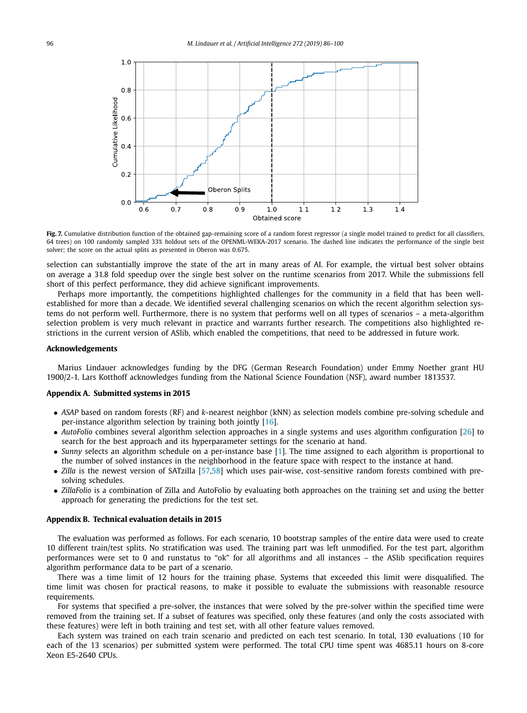<span id="page-10-0"></span>

Fig. 7. Cumulative distribution function of the obtained gap-remaining score of a random forest regressor (a single model trained to predict for all classifiers, 64 trees) on 100 randomly sampled 33% holdout sets of the OPENML-WEKA-2017 scenario. The dashed line indicates the performance of the single best solver; the score on the actual splits as presented in Oberon was 0*.*675.

selection can substantially improve the state of the art in many areas of AI. For example, the virtual best solver obtains on average a 31.8 fold speedup over the single best solver on the runtime scenarios from 2017. While the submissions fell short of this perfect performance, they did achieve significant improvements.

Perhaps more importantly, the competitions highlighted challenges for the community in a field that has been wellestablished for more than a decade. We identified several challenging scenarios on which the recent algorithm selection systems do not perform well. Furthermore, there is no system that performs well on all types of scenarios – a meta-algorithm selection problem is very much relevant in practice and warrants further research. The competitions also highlighted restrictions in the current version of ASlib, which enabled the competitions, that need to be addressed in future work.

#### **Acknowledgements**

Marius Lindauer acknowledges funding by the DFG (German Research Foundation) under Emmy Noether grant HU 1900/2-1. Lars Kotthoff acknowledges funding from the National Science Foundation (NSF), award number 1813537.

#### **Appendix A. Submitted systems in 2015**

- *ASAP* based on random forests (RF) and *k*-nearest neighbor (kNN) as selection models combine pre-solving schedule and per-instance algorithm selection by training both jointly [\[16\]](#page-13-0).
- *AutoFolio* combines several algorithm selection approaches in a single systems and uses algorithm configuration [\[26\]](#page-14-0) to search for the best approach and its hyperparameter settings for the scenario at hand.
- *Sunny* selects an algorithm schedule on a per-instance base [\[1\]](#page-13-0). The time assigned to each algorithm is proportional to the number of solved instances in the neighborhood in the feature space with respect to the instance at hand.
- *Zilla* is the newest version of SATzilla [\[57,58\]](#page-14-0) which uses pair-wise, cost-sensitive random forests combined with presolving schedules.
- *ZillaFolio* is a combination of Zilla and AutoFolio by evaluating both approaches on the training set and using the better approach for generating the predictions for the test set.

# **Appendix B. Technical evaluation details in 2015**

The evaluation was performed as follows. For each scenario, 10 bootstrap samples of the entire data were used to create 10 different train/test splits. No stratification was used. The training part was left unmodified. For the test part, algorithm performances were set to 0 and runstatus to "ok" for all algorithms and all instances – the ASlib specification requires algorithm performance data to be part of a scenario.

There was a time limit of 12 hours for the training phase. Systems that exceeded this limit were disqualified. The time limit was chosen for practical reasons, to make it possible to evaluate the submissions with reasonable resource requirements.

For systems that specified a pre-solver, the instances that were solved by the pre-solver within the specified time were removed from the training set. If a subset of features was specified, only these features (and only the costs associated with these features) were left in both training and test set, with all other feature values removed.

Each system was trained on each train scenario and predicted on each test scenario. In total, 130 evaluations (10 for each of the 13 scenarios) per submitted system were performed. The total CPU time spent was 4685.11 hours on 8-core Xeon E5-2640 CPUs.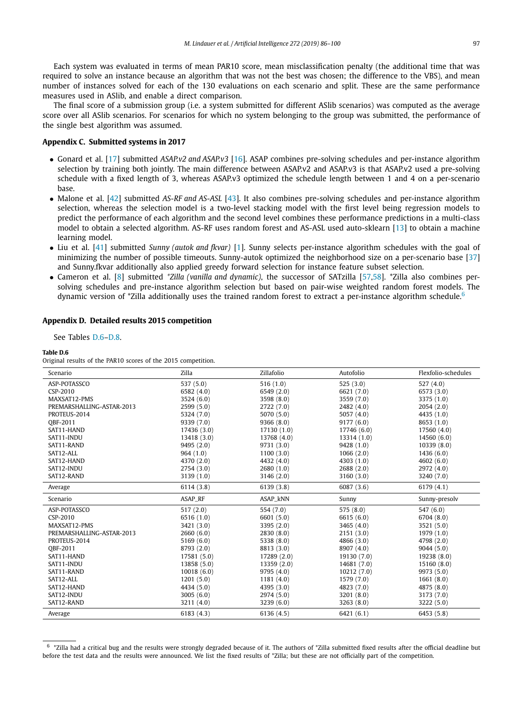<span id="page-11-0"></span>Each system was evaluated in terms of mean PAR10 score, mean misclassification penalty (the additional time that was required to solve an instance because an algorithm that was not the best was chosen; the difference to the VBS), and mean number of instances solved for each of the 130 evaluations on each scenario and split. These are the same performance measures used in ASlib, and enable a direct comparison.

The final score of a submission group (i.e. a system submitted for different ASlib scenarios) was computed as the average score over all ASlib scenarios. For scenarios for which no system belonging to the group was submitted, the performance of the single best algorithm was assumed.

## **Appendix C. Submitted systems in 2017**

- Gonard et al. [\[17\]](#page-13-0) submitted *ASAP.v2 and ASAP.v3* [\[16\]](#page-13-0). ASAP combines pre-solving schedules and per-instance algorithm selection by training both jointly. The main difference between ASAP.v2 and ASAP.v3 is that ASAP.v2 used a pre-solving schedule with a fixed length of 3, whereas ASAP.v3 optimized the schedule length between 1 and 4 on a per-scenario base.
- Malone et al. [\[42\]](#page-14-0) submitted *AS-RF and AS-ASL* [\[43\]](#page-14-0). It also combines pre-solving schedules and per-instance algorithm selection, whereas the selection model is a two-level stacking model with the first level being regression models to predict the performance of each algorithm and the second level combines these performance predictions in a multi-class model to obtain a selected algorithm. AS-RF uses random forest and AS-ASL used auto-sklearn [\[13\]](#page-13-0) to obtain a machine learning model.
- Liu et al. [\[41\]](#page-14-0) submitted *Sunny (autok and fkvar)* [\[1\]](#page-13-0). Sunny selects per-instance algorithm schedules with the goal of minimizing the number of possible timeouts. Sunny-autok optimized the neighborhood size on a per-scenario base [\[37\]](#page-14-0) and Sunny.fkvar additionally also applied greedy forward selection for instance feature subset selection.
- Cameron et al. [\[8\]](#page-13-0) submitted *\*Zilla (vanilla and dynamic)*, the successor of SATzilla [\[57,58\]](#page-14-0). \*Zilla also combines persolving schedules and pre-instance algorithm selection but based on pair-wise weighted random forest models. The dynamic version of \*Zilla additionally uses the trained random forest to extract a per-instance algorithm schedule.<sup>6</sup>

#### **Appendix D. Detailed results 2015 competition**

See Tables D.6[–D.8.](#page-12-0)

#### **Table D.6**

Original results of the PAR10 scores of the 2015 competition.

| Scenario                  | Zilla       | Zillafolio  | Autofolio   | Flexfolio-schedules |
|---------------------------|-------------|-------------|-------------|---------------------|
| ASP-POTASSCO              | 537 (5.0)   | 516(1.0)    | 525(3.0)    | 527(4.0)            |
| CSP-2010                  | 6582 (4.0)  | 6549 (2.0)  | 6621 (7.0)  | 6573 (3.0)          |
| MAXSAT12-PMS              | 3524 (6.0)  | 3598 (8.0)  | 3559 (7.0)  | 3375 (1.0)          |
| PREMARSHALLING-ASTAR-2013 | 2599 (5.0)  | 2722 (7.0)  | 2482 (4.0)  | 2054(2.0)           |
| PROTEUS-2014              | 5324 (7.0)  | 5070 (5.0)  | 5057 (4.0)  | 4435 (1.0)          |
| <b>OBF-2011</b>           | 9339 (7.0)  | 9366(8.0)   | 9177(6.0)   | 8653 (1.0)          |
| SAT11-HAND                | 17436 (3.0) | 17130 (1.0) | 17746 (6.0) | 17560 (4.0)         |
| SAT11-INDU                | 13418 (3.0) | 13768 (4.0) | 13314 (1.0) | 14560 (6.0)         |
| SAT11-RAND                | 9495 (2.0)  | 9731 (3.0)  | 9428 (1.0)  | 10339 (8.0)         |
| SAT12-ALL                 | 964 (1.0)   | 1100(3.0)   | 1066(2.0)   | 1436(6.0)           |
| SAT12-HAND                | 4370 (2.0)  | 4432 (4.0)  | 4303 (1.0)  | 4602(6.0)           |
| SAT12-INDU                | 2754 (3.0)  | 2680 (1.0)  | 2688 (2.0)  | 2972 (4.0)          |
| SAT12-RAND                | 3139 (1.0)  | 3146 (2.0)  | 3160 (3.0)  | 3240 (7.0)          |
| Average                   | 6114 (3.8)  | 6139 (3.8)  | 6087 (3.6)  | 6179 (4.1)          |
| Scenario                  | ASAP_RF     | ASAP_kNN    | Sunny       | Sunny-presolv       |
| ASP-POTASSCO              | 517(2.0)    | 554 (7.0)   | 575(8.0)    | 547(6.0)            |
| CSP-2010                  | 6516 (1.0)  | 6601 (5.0)  | 6615 (6.0)  | 6704 (8.0)          |
| MAXSAT12-PMS              | 3421 (3.0)  | 3395 (2.0)  | 3465 (4.0)  | 3521 (5.0)          |
| PREMARSHALLING-ASTAR-2013 | 2660(6.0)   | 2830 (8.0)  | 2151(3.0)   | 1979 (1.0)          |
| PROTEUS-2014              | 5169 (6.0)  | 5338 (8.0)  | 4866 (3.0)  | 4798 (2.0)          |
| <b>OBF-2011</b>           | 8793 (2.0)  | 8813 (3.0)  | 8907 (4.0)  | 9044(5.0)           |
| SAT11-HAND                | 17581 (5.0) | 17289 (2.0) | 19130 (7.0) | 19238 (8.0)         |
| SAT11-INDU                | 13858 (5.0) | 13359 (2.0) | 14681 (7.0) | 15160 (8.0)         |
| SAT11-RAND                | 10018(6.0)  | 9795 (4.0)  | 10212 (7.0) | 9973 (5.0)          |
| SAT12-ALL                 | 1201(5.0)   | 1181(4.0)   | 1579 (7.0)  | 1661(8.0)           |
| SAT12-HAND                | 4434 (5.0)  | 4395 (3.0)  | 4823 (7.0)  | 4875 (8.0)          |
| SAT12-INDU                | 3005(6.0)   | 2974 (5.0)  | 3201 (8.0)  | 3173 (7.0)          |
| SAT12-RAND                | 3211 (4.0)  | 3239 (6.0)  | 3263(8.0)   | 3222 (5.0)          |
| Average                   | 6183(4.3)   | 6136 (4.5)  | 6421(6.1)   | 6453 (5.8)          |

<sup>6</sup> \*Zilla had a critical bug and the results were strongly degraded because of it. The authors of \*Zilla submitted fixed results after the official deadline but before the test data and the results were announced. We list the fixed results of \*Zilla; but these are not officially part of the competition.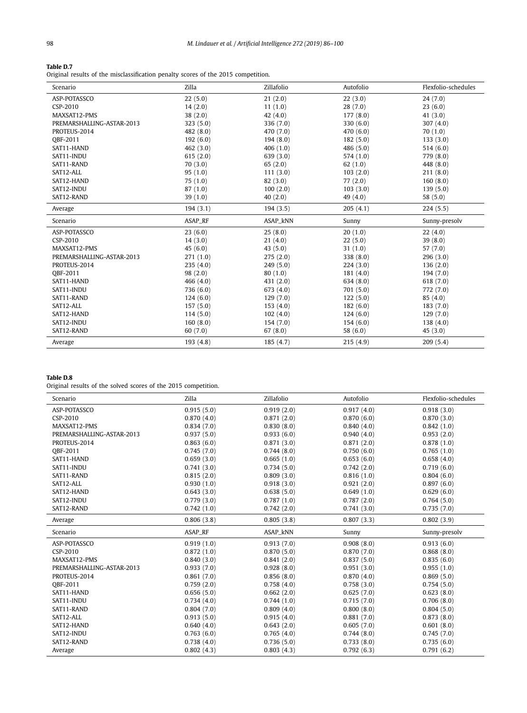#### <span id="page-12-0"></span>**Table D.7**

Original results of the misclassification penalty scores of the 2015 competition.

| Scenario                  | Zilla     | Zillafolio | Autofolio | Flexfolio-schedules |
|---------------------------|-----------|------------|-----------|---------------------|
| ASP-POTASSCO              | 22(5.0)   | 21(2.0)    | 22(3.0)   | 24(7.0)             |
| CSP-2010                  | 14(2.0)   | 11(1.0)    | 28(7.0)   | 23(6.0)             |
| MAXSAT12-PMS              | 38(2.0)   | 42(4.0)    | 177(8.0)  | 41(3.0)             |
| PREMARSHALLING-ASTAR-2013 | 323 (5.0) | 336 (7.0)  | 330 (6.0) | 307 $(4.0)$         |
| PROTEUS-2014              | 482 (8.0) | 470 (7.0)  | 470 (6.0) | 70(1.0)             |
| OBF-2011                  | 192(6.0)  | 194(8.0)   | 182(5.0)  | 133(3.0)            |
| SAT11-HAND                | 462 (3.0) | 406(1.0)   | 486 (5.0) | 514(6.0)            |
| SAT11-INDU                | 615(2.0)  | 639(3.0)   | 574 (1.0) | 779 (8.0)           |
| SAT11-RAND                | 70(3.0)   | 65(2.0)    | 62(1.0)   | 448 (8.0)           |
| SAT12-ALL                 | 95(1.0)   | 111(3.0)   | 103(2.0)  | 211(8.0)            |
| SAT12-HAND                | 75(1.0)   | 82 (3.0)   | 77(2.0)   | 160(8.0)            |
| SAT12-INDU                | 87(1.0)   | 100(2.0)   | 103(3.0)  | 139(5.0)            |
| SAT12-RAND                | 39(1.0)   | 40(2.0)    | 49 (4.0)  | 58 (5.0)            |
| Average                   | 194(3.1)  | 194(3.5)   | 205(4.1)  | 224(5.5)            |
| Scenario                  | ASAP_RF   | ASAP_kNN   | Sunny     | Sunny-presolv       |
| ASP-POTASSCO              | 23(6.0)   | 25(8.0)    | 20(1.0)   | 22(4.0)             |
| CSP-2010                  | 14(3.0)   | 21(4.0)    | 22(5.0)   | 39(8.0)             |
| MAXSAT12-PMS              | 45(6.0)   | 43(5.0)    | 31(1.0)   | 57(7.0)             |
| PREMARSHALLING-ASTAR-2013 | 271(1.0)  | 275(2.0)   | 338 (8.0) | 296 (3.0)           |
| PROTEUS-2014              | 235(4.0)  | 249(5.0)   | 224(3.0)  | 136(2.0)            |
| OBF-2011                  | 98(2.0)   | 80(1.0)    | 181(4.0)  | 194 (7.0)           |
| SAT11-HAND                | 466(4.0)  | 431(2.0)   | 634(8.0)  | 618 (7.0)           |
| SAT11-INDU                | 736 (6.0) | 673(4.0)   | 701(5.0)  | 772 (7.0)           |
| SAT11-RAND                | 124(6.0)  | 129(7.0)   | 122(5.0)  | 85(4.0)             |
| SAT12-ALL                 | 157(5.0)  | 153(4.0)   | 182(6.0)  | 183 (7.0)           |
| SAT12-HAND                | 114(5.0)  | 102(4.0)   | 124(6.0)  | 129(7.0)            |
| SAT12-INDU                | 160(8.0)  | 154 (7.0)  | 154(6.0)  | 138 (4.0)           |
| SAT12-RAND                | 60(7.0)   | 67(8.0)    | 58 (6.0)  | 45(3.0)             |
| Average                   | 193(4.8)  | 185 (4.7)  | 215(4.9)  | 209(5.4)            |

# **Table D.8**

Original results of the solved scores of the 2015 competition.

| Scenario                  | Zilla      | Zillafolio | Autofolio  | Flexfolio-schedules |
|---------------------------|------------|------------|------------|---------------------|
| ASP-POTASSCO              | 0.915(5.0) | 0.919(2.0) | 0.917(4.0) | 0.918(3.0)          |
| CSP-2010                  | 0.870(4.0) | 0.871(2.0) | 0.870(6.0) | 0.870(3.0)          |
| MAXSAT12-PMS              | 0.834(7.0) | 0.830(8.0) | 0.840(4.0) | 0.842(1.0)          |
| PREMARSHALLING-ASTAR-2013 | 0.937(5.0) | 0.933(6.0) | 0.940(4.0) | 0.953(2.0)          |
| PROTEUS-2014              | 0.863(6.0) | 0.871(3.0) | 0.871(2.0) | 0.878(1.0)          |
| OBF-2011                  | 0.745(7.0) | 0.744(8.0) | 0.750(6.0) | 0.765(1.0)          |
| SAT11-HAND                | 0.659(3.0) | 0.665(1.0) | 0.653(6.0) | 0.658(4.0)          |
| SAT11-INDU                | 0.741(3.0) | 0.734(5.0) | 0.742(2.0) | 0.719(6.0)          |
| SAT11-RAND                | 0.815(2.0) | 0.809(3.0) | 0.816(1.0) | 0.804(6.0)          |
| SAT12-ALL                 | 0.930(1.0) | 0.918(3.0) | 0.921(2.0) | 0.897(6.0)          |
| SAT12-HAND                | 0.643(3.0) | 0.638(5.0) | 0.649(1.0) | 0.629(6.0)          |
| SAT12-INDU                | 0.779(3.0) | 0.787(1.0) | 0.787(2.0) | 0.764(5.0)          |
| SAT12-RAND                | 0.742(1.0) | 0.742(2.0) | 0.741(3.0) | 0.735(7.0)          |
| Average                   | 0.806(3.8) | 0.805(3.8) | 0.807(3.3) | 0.802(3.9)          |
| Scenario                  | ASAP_RF    | ASAP_kNN   | Sunny      | Sunny-presolv       |
| ASP-POTASSCO              | 0.919(1.0) | 0.913(7.0) | 0.908(8.0) | 0.913(6.0)          |
| CSP-2010                  | 0.872(1.0) | 0.870(5.0) | 0.870(7.0) | 0.868(8.0)          |
| MAXSAT12-PMS              | 0.840(3.0) | 0.841(2.0) | 0.837(5.0) | 0.835(6.0)          |
| PREMARSHALLING-ASTAR-2013 | 0.933(7.0) | 0.928(8.0) | 0.951(3.0) | 0.955(1.0)          |
| PROTEUS-2014              | 0.861(7.0) | 0.856(8.0) | 0.870(4.0) | 0.869(5.0)          |
| OBF-2011                  | 0.759(2.0) | 0.758(4.0) | 0.758(3.0) | 0.754(5.0)          |
| SAT11-HAND                | 0.656(5.0) | 0.662(2.0) | 0.625(7.0) | 0.623(8.0)          |
| SAT11-INDU                | 0.734(4.0) | 0.744(1.0) | 0.715(7.0) | 0.706(8.0)          |
| SAT11-RAND                | 0.804(7.0) | 0.809(4.0) | 0.800(8.0) | 0.804(5.0)          |
| SAT12-ALL                 | 0.913(5.0) | 0.915(4.0) | 0.881(7.0) | 0.873(8.0)          |
| SAT12-HAND                | 0.640(4.0) | 0.643(2.0) | 0.605(7.0) | 0.601(8.0)          |
| SAT12-INDU                | 0.763(6.0) | 0.765(4.0) | 0.744(8.0) | 0.745(7.0)          |
| SAT12-RAND                | 0.738(4.0) | 0.736(5.0) | 0.733(8.0) | 0.735(6.0)          |
| Average                   | 0.802(4.3) | 0.803(4.3) | 0.792(6.3) | 0.791(6.2)          |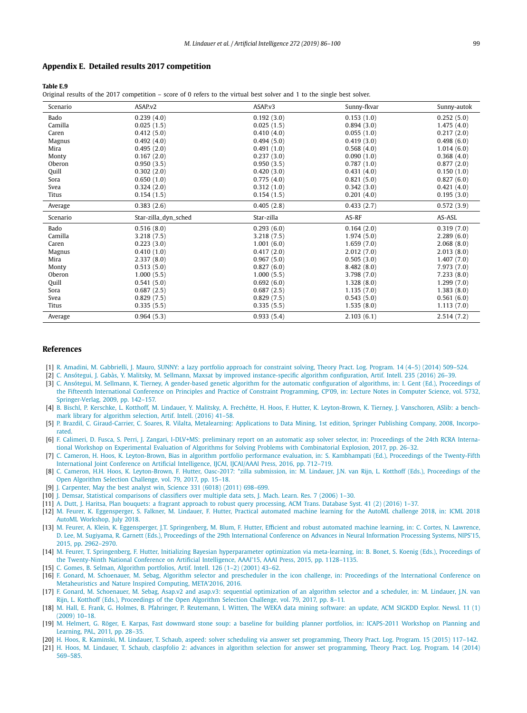#### <span id="page-13-0"></span>**Appendix E. Detailed results 2017 competition**

#### **Table E.9**

Original results of the 2017 competition – score of 0 refers to the virtual best solver and 1 to the single best solver.

| Scenario | ASAP.v2              | ASAP.v3    | Sunny-fkvar | Sunny-autok |
|----------|----------------------|------------|-------------|-------------|
| Bado     | 0.239(4.0)           | 0.192(3.0) | 0.153(1.0)  | 0.252(5.0)  |
| Camilla  | 0.025(1.5)           | 0.025(1.5) | 0.894(3.0)  | 1.475(4.0)  |
| Caren    | 0.412(5.0)           | 0.410(4.0) | 0.055(1.0)  | 0.217(2.0)  |
| Magnus   | 0.492(4.0)           | 0.494(5.0) | 0.419(3.0)  | 0.498(6.0)  |
| Mira     | 0.495(2.0)           | 0.491(1.0) | 0.568(4.0)  | 1.014(6.0)  |
| Monty    | 0.167(2.0)           | 0.237(3.0) | 0.090(1.0)  | 0.368(4.0)  |
| Oberon   | 0.950(3.5)           | 0.950(3.5) | 0.787(1.0)  | 0.877(2.0)  |
| Quill    | 0.302(2.0)           | 0.420(3.0) | 0.431(4.0)  | 0.150(1.0)  |
| Sora     | 0.650(1.0)           | 0.775(4.0) | 0.821(5.0)  | 0.827(6.0)  |
| Svea     | 0.324(2.0)           | 0.312(1.0) | 0.342(3.0)  | 0.421(4.0)  |
| Titus    | 0.154(1.5)           | 0.154(1.5) | 0.201(4.0)  | 0.195(3.0)  |
| Average  | 0.383(2.6)           | 0.405(2.8) | 0.433(2.7)  | 0.572(3.9)  |
|          |                      |            |             |             |
| Scenario | Star-zilla_dyn_sched | Star-zilla | AS-RF       | AS-ASL      |
| Bado     | 0.516(8.0)           | 0.293(6.0) | 0.164(2.0)  | 0.319(7.0)  |
| Camilla  | 3.218(7.5)           | 3.218(7.5) | 1.974(5.0)  | 2.289(6.0)  |
| Caren    | 0.223(3.0)           | 1.001(6.0) | 1.659(7.0)  | 2.068(8.0)  |
| Magnus   | 0.410(1.0)           | 0.417(2.0) | 2.012(7.0)  | 2.013(8.0)  |
| Mira     | 2.337(8.0)           | 0.967(5.0) | 0.505(3.0)  | 1.407(7.0)  |
| Monty    | 0.513(5.0)           | 0.827(6.0) | 8.482(8.0)  | 7.973(7.0)  |
| Oberon   | 1.000(5.5)           | 1.000(5.5) | 3.798 (7.0) | 7.233(8.0)  |
| Quill    | 0.541(5.0)           | 0.692(6.0) | 1.328(8.0)  | 1.299(7.0)  |
| Sora     | 0.687(2.5)           | 0.687(2.5) | 1.135(7.0)  | 1.383(8.0)  |
| Svea     | 0.829(7.5)           | 0.829(7.5) | 0.543(5.0)  | 0.561(6.0)  |
| Titus    | 0.335(5.5)           | 0.335(5.5) | 1.535(8.0)  | 1.113(7.0)  |

#### **References**

- [1] R. Amadini, M. [Gabbrielli,](http://refhub.elsevier.com/S0004-3702(18)30198-X/bib616D6164696E692D74706C70313461s1) J. Mauro, SUNNY: a lazy portfolio approach for constraint solving, Theory Pract. Log. Program. 14 (4–5) (2014) 509–524.
- [2] C. Ansótegui, J. Gabàs, Y. Malitsky, M. Sellmann, Maxsat by improved [instance-specific](http://refhub.elsevier.com/S0004-3702(18)30198-X/bib616E736F74656775692D61696A3136s1) algorithm configuration, Artif. Intell. 235 (2016) 26–39.
- [3] C. Ansótegui, M. Sellmann, K. Tierney, A [gender-based](http://refhub.elsevier.com/S0004-3702(18)30198-X/bib616E736F74656775692D6370303961s1) genetic algorithm for the automatic configuration of algorithms, in: I. Gent (Ed.), Proceedings of the Fifteenth International Conference on Principles and Practice of Constraint [Programming,](http://refhub.elsevier.com/S0004-3702(18)30198-X/bib616E736F74656775692D6370303961s1) CP'09, in: Lecture Notes in Computer Science, vol. 5732, [Springer-Verlag,](http://refhub.elsevier.com/S0004-3702(18)30198-X/bib616E736F74656775692D6370303961s1) 2009, pp. 142–157.
- [4] B. Bischl, P. Kerschke, L. Kotthoff, M. Lindauer, Y. Malitsky, A. Frechétte, H. Hoos, F. Hutter, K. [Leyton-Brown,](http://refhub.elsevier.com/S0004-3702(18)30198-X/bib62697363686C2D61696A313661s1) K. Tierney, J. Vanschoren, ASlib: a benchmark library for [algorithm](http://refhub.elsevier.com/S0004-3702(18)30198-X/bib62697363686C2D61696A313661s1) selection, Artif. Intell. (2016) 41–58.
- [5] P. Brazdil, C. [Giraud-Carrier,](http://refhub.elsevier.com/S0004-3702(18)30198-X/bib4272617A64696C32303038s1) C. Soares, R. Vilalta, Metalearning: Applications to Data Mining, 1st edition, Springer Publishing Company, 2008, Incorpo[rated.](http://refhub.elsevier.com/S0004-3702(18)30198-X/bib4272617A64696C32303038s1)
- [6] F. Calimeri, D. Fusca, S. Perri, J. Zangari, I-DLV+MS: preliminary report on an automatic asp solver selector, in: [Proceedings](http://refhub.elsevier.com/S0004-3702(18)30198-X/bib63616C696D65726932303137646C76s1) of the 24th RCRA International Workshop on Experimental Evaluation of Algorithms for Solving Problems with [Combinatorial](http://refhub.elsevier.com/S0004-3702(18)30198-X/bib63616C696D65726932303137646C76s1) Explosion, 2017, pp. 26–32.
- [7] C. Cameron, H. Hoos, K. [Leyton-Brown,](http://refhub.elsevier.com/S0004-3702(18)30198-X/bib63616D65726F6E2D696A6361313661s1) Bias in algorithm portfolio performance evaluation, in: S. Kambhampati (Ed.), Proceedings of the Twenty-Fifth International Joint Conference on Artificial Intelligence, IJCAI, IJCAI/AAAI Press, 2016, [pp. 712–719.](http://refhub.elsevier.com/S0004-3702(18)30198-X/bib63616D65726F6E2D696A6361313661s1)
- [8] C. Cameron, H.H. Hoos, K. [Leyton-Brown,](http://refhub.elsevier.com/S0004-3702(18)30198-X/bib43616D65726F6E3137s1) F. Hutter, Oasc-2017: \*zilla submission, in: M. Lindauer, J.N. van Rijn, L. Kotthoff (Eds.), Proceedings of the Open Algorithm Selection Challenge, vol. 79, 2017, [pp. 15–18.](http://refhub.elsevier.com/S0004-3702(18)30198-X/bib43616D65726F6E3137s1)
- [9] J. Carpenter, May the best analyst win, Science [331 \(6018\)](http://refhub.elsevier.com/S0004-3702(18)30198-X/bib43617270656E74657232303131s1) (2011) 698-699.
- [10] J. Demsar, Statistical [comparisons](http://refhub.elsevier.com/S0004-3702(18)30198-X/bib44656D73617232303036s1) of classifiers over multiple data sets, J. Mach. Learn. Res. 7 (2006) 1–30.
- [11] A. Dutt, J. Haritsa, Plan bouquets: a fragrant approach to robust query [processing,](http://refhub.elsevier.com/S0004-3702(18)30198-X/bib647574745F706C616E5F32303136s1) ACM Trans. Database Syst. 41 (2) (2016) 1–37.
- [12] M. Feurer, K. Eggensperger, S. Falkner, M. Lindauer, F. Hutter, Practical automated machine learning for the [AutoML challenge](http://refhub.elsevier.com/S0004-3702(18)30198-X/bib6665757265722D6175746F6D6C313862s1) 2018, in: ICML 2018 AutoML [Workshop,](http://refhub.elsevier.com/S0004-3702(18)30198-X/bib6665757265722D6175746F6D6C313862s1) July 2018.
- [13] M. Feurer, A. Klein, K. Eggensperger, J.T. [Springenberg,](http://refhub.elsevier.com/S0004-3702(18)30198-X/bib6665757265722D6E6970733230313561s1) M. Blum, F. Hutter, Efficient and robust automated machine learning, in: C. Cortes, N. Lawrence, D. Lee, M. Sugiyama, R. Garnett (Eds.), Proceedings of the 29th [International](http://refhub.elsevier.com/S0004-3702(18)30198-X/bib6665757265722D6E6970733230313561s1) Conference on Advances in Neural Information Processing Systems, NIPS'15, 2015, [pp. 2962–2970.](http://refhub.elsevier.com/S0004-3702(18)30198-X/bib6665757265722D6E6970733230313561s1)
- [14] M. Feurer, T. Springenberg, F. Hutter, Initializing Bayesian [hyperparameter](http://refhub.elsevier.com/S0004-3702(18)30198-X/bib6665757265722D61616169313561s1) optimization via meta-learning, in: B. Bonet, S. Koenig (Eds.), Proceedings of the [Twenty-Ninth National](http://refhub.elsevier.com/S0004-3702(18)30198-X/bib6665757265722D61616169313561s1) Conference on Artificial Intelligence, AAAI'15, AAAI Press, 2015, pp. 1128–1135.

[15] C. Gomes, B. Selman, Algorithm [portfolios,](http://refhub.elsevier.com/S0004-3702(18)30198-X/bib676F6D65732D61696A3031s1) Artif. Intell. 126 (1–2) (2001) 43–62.

- [16] F. Gonard, M. Schoenauer, M. Sebag, Algorithm selector and [prescheduler](http://refhub.elsevier.com/S0004-3702(18)30198-X/bib676F6E6172642D6D6574613136s1) in the icon challenge, in: Proceedings of the International Conference on [Metaheuristics](http://refhub.elsevier.com/S0004-3702(18)30198-X/bib676F6E6172642D6D6574613136s1) and Nature Inspired Computing, META'2016, 2016.
- [17] F. Gonard, M. Schoenauer, M. Sebag, Asap.v2 and asap.v3: sequential [optimization](http://refhub.elsevier.com/S0004-3702(18)30198-X/bib476F6E6172643137s1) of an algorithm selector and a scheduler, in: M. Lindauer, J.N. van Rijn, L. Kotthoff (Eds.), [Proceedings](http://refhub.elsevier.com/S0004-3702(18)30198-X/bib476F6E6172643137s1) of the Open Algorithm Selection Challenge, vol. 79, 2017, pp. 8–11.
- [18] M. Hall, E. Frank, G. Holmes, B. Pfahringer, P. [Reutemann,](http://refhub.elsevier.com/S0004-3702(18)30198-X/bib48616C6C32303039s1) I. Witten, The WEKA data mining software: an update, ACM SIGKDD Explor. Newsl. 11 (1) (2009) [10–18.](http://refhub.elsevier.com/S0004-3702(18)30198-X/bib48616C6C32303039s1)
- [19] M. Helmert, G. Röger, E. Karpas, Fast downward stone soup: a baseline for building planner portfolios, in: [ICAPS-2011](http://refhub.elsevier.com/S0004-3702(18)30198-X/bib68656C6D6572742D6963617073313161s1) Workshop on Planning and Learning, PAL, 2011, [pp. 28–35.](http://refhub.elsevier.com/S0004-3702(18)30198-X/bib68656C6D6572742D6963617073313161s1)
- [20] H. Hoos, R. Kaminski, M. Lindauer, T. Schaub, aspeed: solver scheduling via answer set [programming,](http://refhub.elsevier.com/S0004-3702(18)30198-X/bib686F6F732D74706C70313462s1) Theory Pract. Log. Program. 15 (2015) 117–142.
- [21] H. Hoos, M. Lindauer, T. Schaub, claspfolio 2: advances in algorithm selection for answer set [programming,](http://refhub.elsevier.com/S0004-3702(18)30198-X/bib686F6F732D74706C70313461s1) Theory Pract. Log. Program. 14 (2014) [569–585.](http://refhub.elsevier.com/S0004-3702(18)30198-X/bib686F6F732D74706C70313461s1)